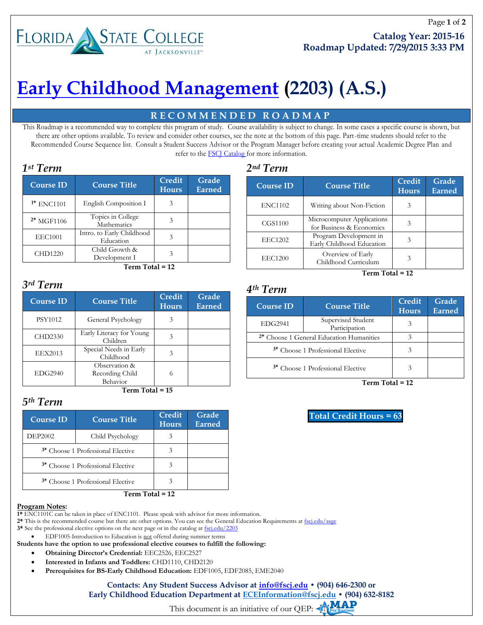# **FLORIDA STATE COLLEGE**

# **[Early Childhood Management](http://www.fscj.edu/2203) (2203) (A.S.)**

# **R E C O M M E N D E D R O A D M A P**

This Roadmap is a recommended way to complete this program of study. Course availability is subject to change. In some cases a specific course is shown, but there are other options available. To review and consider other courses, see the note at the bottom of this page. Part-time students should refer to the Recommended Course Sequence list. Consult a Student Success Advisor or the Program Manager before creating your actual Academic Degree Plan and refer to the [FSCJ Catalog](http://catalog.fscj.edu/index.php?catoid=33) for more information.

| <b>Course ID</b> | <b>Course Title</b>                    | Credit<br><b>Hours</b> | Grade<br>Earned |
|------------------|----------------------------------------|------------------------|-----------------|
| $1*$ ENC1101     | English Composition I                  | 3                      |                 |
| $2*$ MGF1106     | Topics in College<br>Mathematics       | 3                      |                 |
| <b>EEC1001</b>   | Intro. to Early Childhood<br>Education | 3                      |                 |
| CHD1220          | Child Growth &<br>Development I        |                        |                 |

 **Term Total = 12**

### *3rd Term*

| <b>Course ID</b> | <b>Course Title</b>                          | Credit<br><b>Hours</b> | Grade<br>Earned |
|------------------|----------------------------------------------|------------------------|-----------------|
| PSY1012          | General Psychology                           | 3                      |                 |
| CHD2330          | Early Literacy for Young<br>Children         | 3                      |                 |
| <b>EEX2013</b>   | Special Needs in Early<br>Childhood          | 3                      |                 |
| <b>EDG2940</b>   | Observation &<br>Recording Child<br>Behavior | 6                      |                 |

 **Term Total = 15**

# *5th Term*

| <b>Course ID</b> | <b>Course Title</b>                          | Credit<br><b>Hours</b> | Grade<br>Earned |
|------------------|----------------------------------------------|------------------------|-----------------|
| <b>DEP2002</b>   | Child Psychology                             |                        |                 |
|                  | <sup>3*</sup> Choose 1 Professional Elective |                        |                 |
|                  | <sup>3*</sup> Choose 1 Professional Elective |                        |                 |
|                  | <sup>3*</sup> Choose 1 Professional Elective |                        |                 |
|                  | Term Total = 12                              |                        |                 |

#### **Program Notes:**

**1\*** ENC1101C can be taken in place of ENC1101. Please speak with advisor for more information.

**2\*** This is the recommended course but there are other options. You can see the General Education Requirements a[t fscj.edu/asge](http://www.fscj.edu/asge)

3\* See the professional elective options on the next page or in the catalog at  $\underline{\text{fscj.edu}/2203}$ 

EDF1005-Introduction to Education is not offered during summer terms

- **Students have the option to use professional elective courses to fulfill the following:** 
	- **Obtaining Director's Credential:** EEC2526, EEC2527
	- **Interested in Infants and Toddlers:** CHD1110, CHD2120
	- **Prerequisites for BS-Early Childhood Education:** EDF1005, EDF2085, EME2040

#### **Contacts: Any Student Success Advisor at [info@fscj.edu](mailto:info@fscj.edu) • (904) 646-2300 or Early Childhood Education Department at [ECEInformation@fscj.edu](mailto:ECEInformation@fscj.edu) • (904) 632-8182**

«МАР This document is an initiative of our QEP:

| 2 <sup>nd</sup> Term |  |  |  |  |  |  |  |  |  |  |  |  |  |  |  |  |
|----------------------|--|--|--|--|--|--|--|--|--|--|--|--|--|--|--|--|

| <b>Course ID</b> | <b>Course Title</b>                                    | <b>Credit</b><br><b>Hours</b> | Grade<br><b>Earned</b> |
|------------------|--------------------------------------------------------|-------------------------------|------------------------|
| <b>ENC1102</b>   | Writing about Non-Fiction                              | 3                             |                        |
| CGS1100          | Microcomputer Applications<br>for Business & Economics | 3                             |                        |
| <b>EEC1202</b>   | Program Development in<br>Early Childhood Education    | 3                             |                        |
| <b>EEC1200</b>   | Overview of Early<br>Childhood Curriculum              | 3                             |                        |

**Term Total = 12**

#### *4th Term*

| <b>Course ID</b> | <b>Course Title</b>                                 | Credit<br><b>Hours</b> | Grade<br><b>Earned</b> |
|------------------|-----------------------------------------------------|------------------------|------------------------|
| <b>EDG2941</b>   | Supervised Student<br>Participation                 |                        |                        |
|                  | <sup>2*</sup> Choose 1 General Education Humanities | 3                      |                        |
|                  | <sup>3*</sup> Choose 1 Professional Elective        |                        |                        |
|                  | <sup>3*</sup> Choose 1 Professional Elective        |                        |                        |

**Term Total = 12**

**Total Credit Hours = 63**